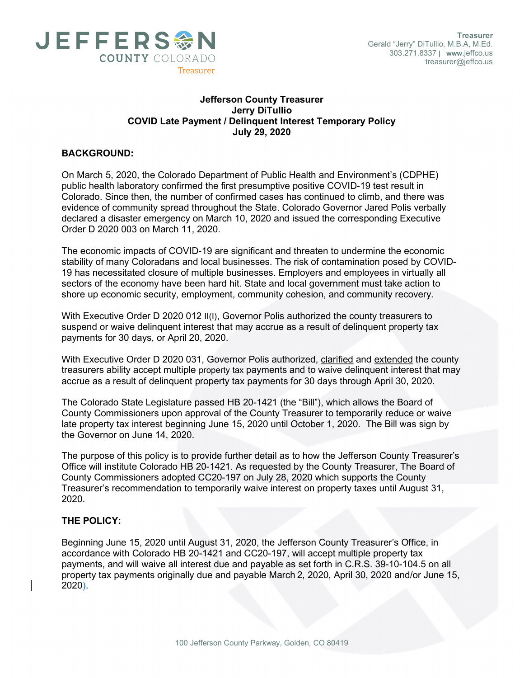

## Jefferson County Treasurer Jerry DiTullio COVID Late Payment / Delinquent Interest Temporary Policy July 29, 2020

## BACKGROUND:

On March 5, 2020, the Colorado Department of Public Health and Environment's (CDPHE) public health laboratory confirmed the first presumptive positive COVID-19 test result in Colorado. Since then, the number of confirmed cases has continued to climb, and there was evidence of community spread throughout the State. Colorado Governor Jared Polis verbally declared a disaster emergency on March 10, 2020 and issued the corresponding Executive Order D 2020 003 on March 11, 2020.

The economic impacts of COVID-19 are significant and threaten to undermine the economic stability of many Coloradans and local businesses. The risk of contamination posed by COVID-19 has necessitated closure of multiple businesses. Employers and employees in virtually all sectors of the economy have been hard hit. State and local government must take action to shore up economic security, employment, community cohesion, and community recovery.

With Executive Order D 2020 012 II(I), Governor Polis authorized the county treasurers to suspend or waive delinquent interest that may accrue as a result of delinquent property tax payments for 30 days, or April 20, 2020.

With Executive Order D 2020 031, Governor Polis authorized, clarified and extended the county treasurers ability accept multiple property tax payments and to waive delinquent interest that may accrue as a result of delinquent property tax payments for 30 days through April 30, 2020.

The Colorado State Legislature passed HB 20-1421 (the "Bill"), which allows the Board of County Commissioners upon approval of the County Treasurer to temporarily reduce or waive late property tax interest beginning June 15, 2020 until October 1, 2020. The Bill was sign by the Governor on June 14, 2020.

The purpose of this policy is to provide further detail as to how the Jefferson County Treasurer's Office will institute Colorado HB 20-1421. As requested by the County Treasurer, The Board of County Commissioners adopted CC20-197 on July 28, 2020 which supports the County Treasurer's recommendation to temporarily waive interest on property taxes until August 31, 2020.

## THE POLICY:

Beginning June 15, 2020 until August 31, 2020, the Jefferson County Treasurer's Office, in accordance with Colorado HB 20-1421 and CC20-197, will accept multiple property tax payments, and will waive all interest due and payable as set forth in C.R.S. 39-10-104.5 on all property tax payments originally due and payable March 2, 2020, April 30, 2020 and/or June 15, 2020).